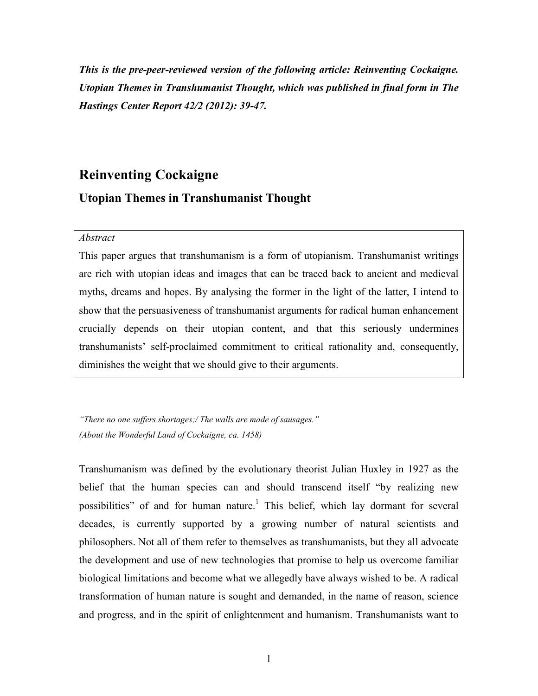*This is the pre-peer-reviewed version of the following article: Reinventing Cockaigne. Utopian Themes in Transhumanist Thought, which was published in final form in The Hastings Center Report 42/2 (2012): 39-47.* 

## **Reinventing Cockaigne**

## **Utopian Themes in Transhumanist Thought**

## *Abstract*

This paper argues that transhumanism is a form of utopianism. Transhumanist writings are rich with utopian ideas and images that can be traced back to ancient and medieval myths, dreams and hopes. By analysing the former in the light of the latter, I intend to show that the persuasiveness of transhumanist arguments for radical human enhancement crucially depends on their utopian content, and that this seriously undermines transhumanists' self-proclaimed commitment to critical rationality and, consequently, diminishes the weight that we should give to their arguments.

*"There no one suffers shortages;/ The walls are made of sausages." (About the Wonderful Land of Cockaigne, ca. 1458)* 

Transhumanism was defined by the evolutionary theorist Julian Huxley in 1927 as the belief that the human species can and should transcend itself "by realizing new possibilities" of and for human nature.<sup>1</sup> This belief, which lay dormant for several decades, is currently supported by a growing number of natural scientists and philosophers. Not all of them refer to themselves as transhumanists, but they all advocate the development and use of new technologies that promise to help us overcome familiar biological limitations and become what we allegedly have always wished to be. A radical transformation of human nature is sought and demanded, in the name of reason, science and progress, and in the spirit of enlightenment and humanism. Transhumanists want to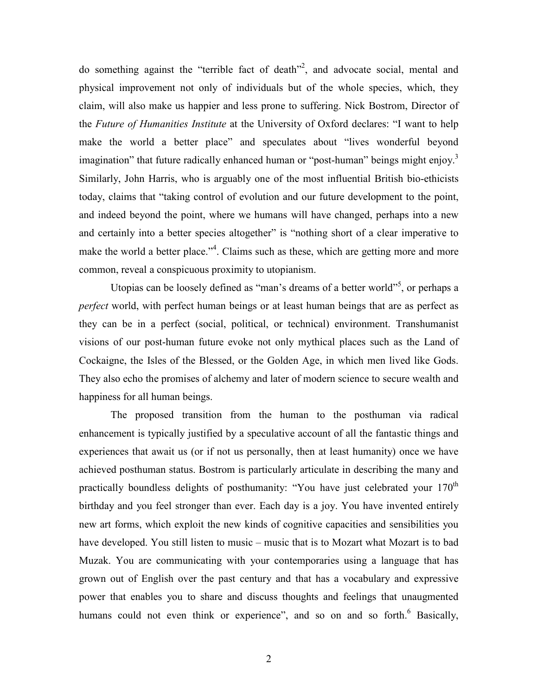do something against the "terrible fact of death"<sup>2</sup> , and advocate social, mental and physical improvement not only of individuals but of the whole species, which, they claim, will also make us happier and less prone to suffering. Nick Bostrom, Director of the *Future of Humanities Institute* at the University of Oxford declares: "I want to help make the world a better place" and speculates about "lives wonderful beyond imagination" that future radically enhanced human or "post-human" beings might enjoy.<sup>3</sup> Similarly, John Harris, who is arguably one of the most influential British bio-ethicists today, claims that "taking control of evolution and our future development to the point, and indeed beyond the point, where we humans will have changed, perhaps into a new and certainly into a better species altogether" is "nothing short of a clear imperative to make the world a better place."<sup>4</sup>. Claims such as these, which are getting more and more common, reveal a conspicuous proximity to utopianism.

Utopias can be loosely defined as "man's dreams of a better world"<sup>5</sup>, or perhaps a *perfect* world, with perfect human beings or at least human beings that are as perfect as they can be in a perfect (social, political, or technical) environment. Transhumanist visions of our post-human future evoke not only mythical places such as the Land of Cockaigne, the Isles of the Blessed, or the Golden Age, in which men lived like Gods. They also echo the promises of alchemy and later of modern science to secure wealth and happiness for all human beings.

The proposed transition from the human to the posthuman via radical enhancement is typically justified by a speculative account of all the fantastic things and experiences that await us (or if not us personally, then at least humanity) once we have achieved posthuman status. Bostrom is particularly articulate in describing the many and practically boundless delights of posthumanity: "You have just celebrated your  $170<sup>th</sup>$ birthday and you feel stronger than ever. Each day is a joy. You have invented entirely new art forms, which exploit the new kinds of cognitive capacities and sensibilities you have developed. You still listen to music – music that is to Mozart what Mozart is to bad Muzak. You are communicating with your contemporaries using a language that has grown out of English over the past century and that has a vocabulary and expressive power that enables you to share and discuss thoughts and feelings that unaugmented humans could not even think or experience", and so on and so forth.<sup>6</sup> Basically,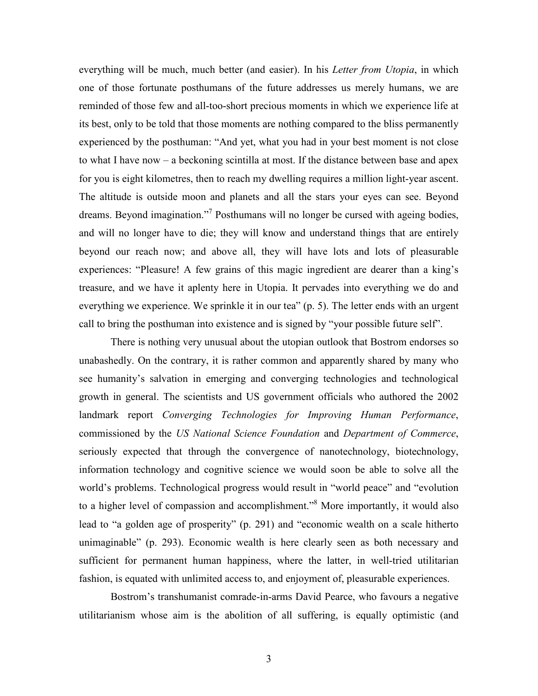everything will be much, much better (and easier). In his *Letter from Utopia*, in which one of those fortunate posthumans of the future addresses us merely humans, we are reminded of those few and all-too-short precious moments in which we experience life at its best, only to be told that those moments are nothing compared to the bliss permanently experienced by the posthuman: "And yet, what you had in your best moment is not close to what I have now – a beckoning scintilla at most. If the distance between base and apex for you is eight kilometres, then to reach my dwelling requires a million light-year ascent. The altitude is outside moon and planets and all the stars your eyes can see. Beyond dreams. Beyond imagination."<sup>7</sup> Posthumans will no longer be cursed with ageing bodies, and will no longer have to die; they will know and understand things that are entirely beyond our reach now; and above all, they will have lots and lots of pleasurable experiences: "Pleasure! A few grains of this magic ingredient are dearer than a king's treasure, and we have it aplenty here in Utopia. It pervades into everything we do and everything we experience. We sprinkle it in our tea" (p. 5). The letter ends with an urgent call to bring the posthuman into existence and is signed by "your possible future self".

There is nothing very unusual about the utopian outlook that Bostrom endorses so unabashedly. On the contrary, it is rather common and apparently shared by many who see humanity's salvation in emerging and converging technologies and technological growth in general. The scientists and US government officials who authored the 2002 landmark report *Converging Technologies for Improving Human Performance*, commissioned by the *US National Science Foundation* and *Department of Commerce*, seriously expected that through the convergence of nanotechnology, biotechnology, information technology and cognitive science we would soon be able to solve all the world's problems. Technological progress would result in "world peace" and "evolution to a higher level of compassion and accomplishment."<sup>8</sup> More importantly, it would also lead to "a golden age of prosperity" (p. 291) and "economic wealth on a scale hitherto unimaginable" (p. 293). Economic wealth is here clearly seen as both necessary and sufficient for permanent human happiness, where the latter, in well-tried utilitarian fashion, is equated with unlimited access to, and enjoyment of, pleasurable experiences.

Bostrom's transhumanist comrade-in-arms David Pearce, who favours a negative utilitarianism whose aim is the abolition of all suffering, is equally optimistic (and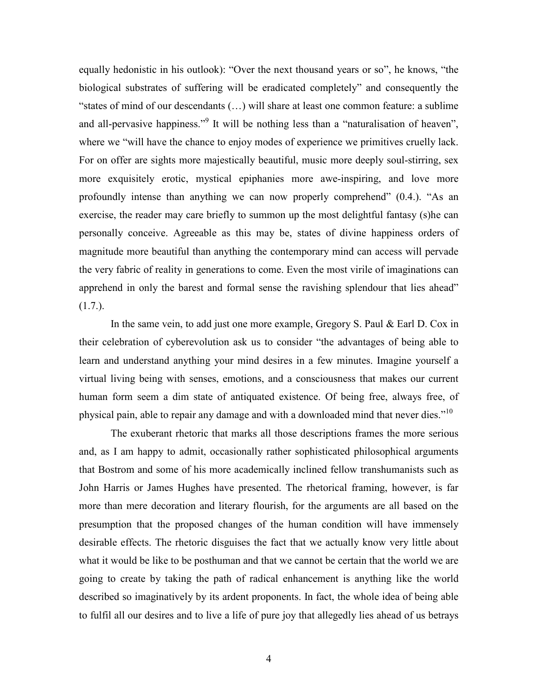equally hedonistic in his outlook): "Over the next thousand years or so", he knows, "the biological substrates of suffering will be eradicated completely" and consequently the "states of mind of our descendants (…) will share at least one common feature: a sublime and all-pervasive happiness."<sup>9</sup> It will be nothing less than a "naturalisation of heaven", where we "will have the chance to enjoy modes of experience we primitives cruelly lack. For on offer are sights more majestically beautiful, music more deeply soul-stirring, sex more exquisitely erotic, mystical epiphanies more awe-inspiring, and love more profoundly intense than anything we can now properly comprehend" (0.4.). "As an exercise, the reader may care briefly to summon up the most delightful fantasy (s)he can personally conceive. Agreeable as this may be, states of divine happiness orders of magnitude more beautiful than anything the contemporary mind can access will pervade the very fabric of reality in generations to come. Even the most virile of imaginations can apprehend in only the barest and formal sense the ravishing splendour that lies ahead"  $(1.7.).$ 

In the same vein, to add just one more example, Gregory S. Paul & Earl D. Cox in their celebration of cyberevolution ask us to consider "the advantages of being able to learn and understand anything your mind desires in a few minutes. Imagine yourself a virtual living being with senses, emotions, and a consciousness that makes our current human form seem a dim state of antiquated existence. Of being free, always free, of physical pain, able to repair any damage and with a downloaded mind that never dies."<sup>10</sup>

The exuberant rhetoric that marks all those descriptions frames the more serious and, as I am happy to admit, occasionally rather sophisticated philosophical arguments that Bostrom and some of his more academically inclined fellow transhumanists such as John Harris or James Hughes have presented. The rhetorical framing, however, is far more than mere decoration and literary flourish, for the arguments are all based on the presumption that the proposed changes of the human condition will have immensely desirable effects. The rhetoric disguises the fact that we actually know very little about what it would be like to be posthuman and that we cannot be certain that the world we are going to create by taking the path of radical enhancement is anything like the world described so imaginatively by its ardent proponents. In fact, the whole idea of being able to fulfil all our desires and to live a life of pure joy that allegedly lies ahead of us betrays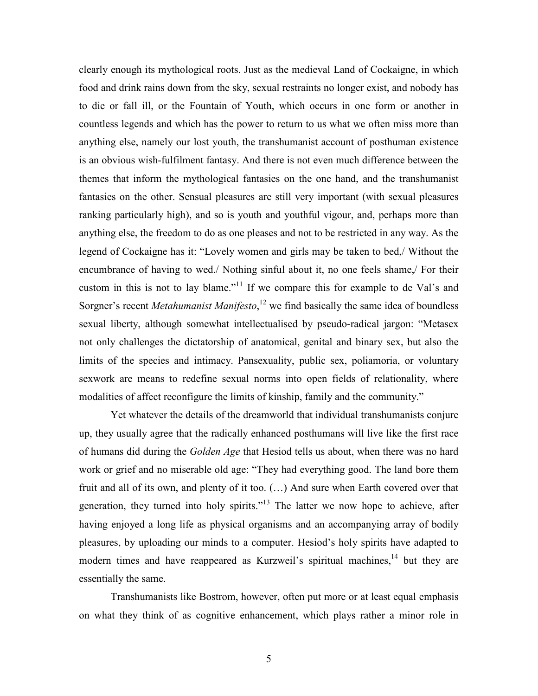clearly enough its mythological roots. Just as the medieval Land of Cockaigne, in which food and drink rains down from the sky, sexual restraints no longer exist, and nobody has to die or fall ill, or the Fountain of Youth, which occurs in one form or another in countless legends and which has the power to return to us what we often miss more than anything else, namely our lost youth, the transhumanist account of posthuman existence is an obvious wish-fulfilment fantasy. And there is not even much difference between the themes that inform the mythological fantasies on the one hand, and the transhumanist fantasies on the other. Sensual pleasures are still very important (with sexual pleasures ranking particularly high), and so is youth and youthful vigour, and, perhaps more than anything else, the freedom to do as one pleases and not to be restricted in any way. As the legend of Cockaigne has it: "Lovely women and girls may be taken to bed,/ Without the encumbrance of having to wed./ Nothing sinful about it, no one feels shame,/ For their custom in this is not to lay blame."<sup>11</sup> If we compare this for example to de Val's and Sorgner's recent *Metahumanist Manifesto*, <sup>12</sup> we find basically the same idea of boundless sexual liberty, although somewhat intellectualised by pseudo-radical jargon: "Metasex not only challenges the dictatorship of anatomical, genital and binary sex, but also the limits of the species and intimacy. Pansexuality, public sex, poliamoria, or voluntary sexwork are means to redefine sexual norms into open fields of relationality, where modalities of affect reconfigure the limits of kinship, family and the community."

Yet whatever the details of the dreamworld that individual transhumanists conjure up, they usually agree that the radically enhanced posthumans will live like the first race of humans did during the *Golden Age* that Hesiod tells us about, when there was no hard work or grief and no miserable old age: "They had everything good. The land bore them fruit and all of its own, and plenty of it too. (…) And sure when Earth covered over that generation, they turned into holy spirits."<sup>13</sup> The latter we now hope to achieve, after having enjoyed a long life as physical organisms and an accompanying array of bodily pleasures, by uploading our minds to a computer. Hesiod's holy spirits have adapted to modern times and have reappeared as Kurzweil's spiritual machines, $14$  but they are essentially the same.

Transhumanists like Bostrom, however, often put more or at least equal emphasis on what they think of as cognitive enhancement, which plays rather a minor role in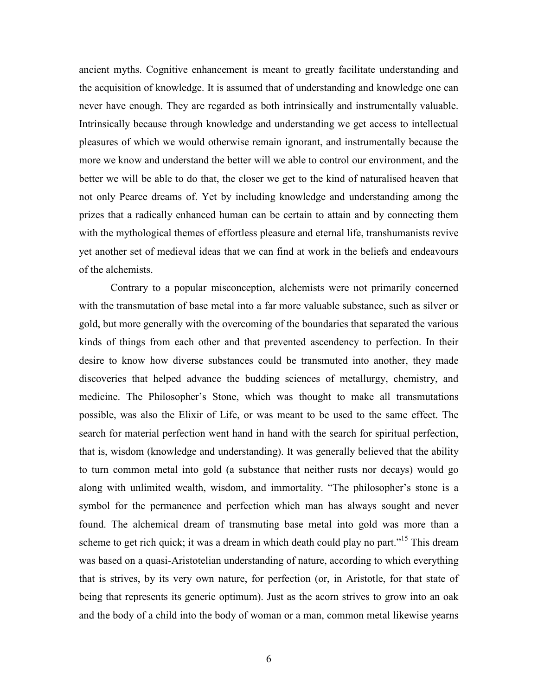ancient myths. Cognitive enhancement is meant to greatly facilitate understanding and the acquisition of knowledge. It is assumed that of understanding and knowledge one can never have enough. They are regarded as both intrinsically and instrumentally valuable. Intrinsically because through knowledge and understanding we get access to intellectual pleasures of which we would otherwise remain ignorant, and instrumentally because the more we know and understand the better will we able to control our environment, and the better we will be able to do that, the closer we get to the kind of naturalised heaven that not only Pearce dreams of. Yet by including knowledge and understanding among the prizes that a radically enhanced human can be certain to attain and by connecting them with the mythological themes of effortless pleasure and eternal life, transhumanists revive yet another set of medieval ideas that we can find at work in the beliefs and endeavours of the alchemists.

Contrary to a popular misconception, alchemists were not primarily concerned with the transmutation of base metal into a far more valuable substance, such as silver or gold, but more generally with the overcoming of the boundaries that separated the various kinds of things from each other and that prevented ascendency to perfection. In their desire to know how diverse substances could be transmuted into another, they made discoveries that helped advance the budding sciences of metallurgy, chemistry, and medicine. The Philosopher's Stone, which was thought to make all transmutations possible, was also the Elixir of Life, or was meant to be used to the same effect. The search for material perfection went hand in hand with the search for spiritual perfection, that is, wisdom (knowledge and understanding). It was generally believed that the ability to turn common metal into gold (a substance that neither rusts nor decays) would go along with unlimited wealth, wisdom, and immortality. "The philosopher's stone is a symbol for the permanence and perfection which man has always sought and never found. The alchemical dream of transmuting base metal into gold was more than a scheme to get rich quick; it was a dream in which death could play no part."<sup>15</sup> This dream was based on a quasi-Aristotelian understanding of nature, according to which everything that is strives, by its very own nature, for perfection (or, in Aristotle, for that state of being that represents its generic optimum). Just as the acorn strives to grow into an oak and the body of a child into the body of woman or a man, common metal likewise yearns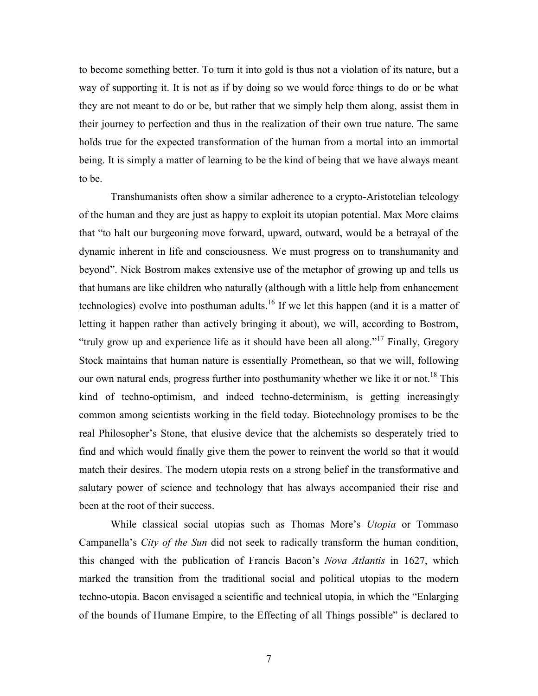to become something better. To turn it into gold is thus not a violation of its nature, but a way of supporting it. It is not as if by doing so we would force things to do or be what they are not meant to do or be, but rather that we simply help them along, assist them in their journey to perfection and thus in the realization of their own true nature. The same holds true for the expected transformation of the human from a mortal into an immortal being. It is simply a matter of learning to be the kind of being that we have always meant to be.

Transhumanists often show a similar adherence to a crypto-Aristotelian teleology of the human and they are just as happy to exploit its utopian potential. Max More claims that "to halt our burgeoning move forward, upward, outward, would be a betrayal of the dynamic inherent in life and consciousness. We must progress on to transhumanity and beyond". Nick Bostrom makes extensive use of the metaphor of growing up and tells us that humans are like children who naturally (although with a little help from enhancement technologies) evolve into posthuman adults.<sup>16</sup> If we let this happen (and it is a matter of letting it happen rather than actively bringing it about), we will, according to Bostrom, "truly grow up and experience life as it should have been all along."<sup>17</sup> Finally, Gregory Stock maintains that human nature is essentially Promethean, so that we will, following our own natural ends, progress further into posthumanity whether we like it or not.<sup>18</sup> This kind of techno-optimism, and indeed techno-determinism, is getting increasingly common among scientists working in the field today. Biotechnology promises to be the real Philosopher's Stone, that elusive device that the alchemists so desperately tried to find and which would finally give them the power to reinvent the world so that it would match their desires. The modern utopia rests on a strong belief in the transformative and salutary power of science and technology that has always accompanied their rise and been at the root of their success.

While classical social utopias such as Thomas More's *Utopia* or Tommaso Campanella's *City of the Sun* did not seek to radically transform the human condition, this changed with the publication of Francis Bacon's *Nova Atlantis* in 1627, which marked the transition from the traditional social and political utopias to the modern techno-utopia. Bacon envisaged a scientific and technical utopia, in which the "Enlarging of the bounds of Humane Empire, to the Effecting of all Things possible" is declared to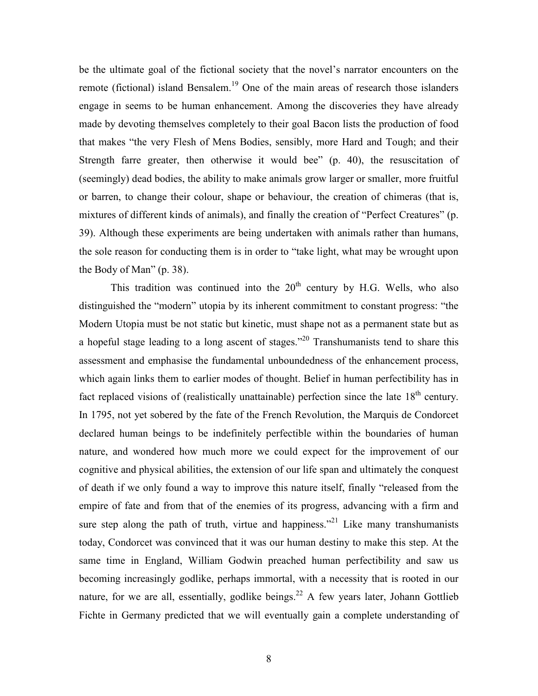be the ultimate goal of the fictional society that the novel's narrator encounters on the remote (fictional) island Bensalem.<sup>19</sup> One of the main areas of research those islanders engage in seems to be human enhancement. Among the discoveries they have already made by devoting themselves completely to their goal Bacon lists the production of food that makes "the very Flesh of Mens Bodies, sensibly, more Hard and Tough; and their Strength farre greater, then otherwise it would bee" (p. 40), the resuscitation of (seemingly) dead bodies, the ability to make animals grow larger or smaller, more fruitful or barren, to change their colour, shape or behaviour, the creation of chimeras (that is, mixtures of different kinds of animals), and finally the creation of "Perfect Creatures" (p. 39). Although these experiments are being undertaken with animals rather than humans, the sole reason for conducting them is in order to "take light, what may be wrought upon the Body of Man" (p. 38).

This tradition was continued into the  $20<sup>th</sup>$  century by H.G. Wells, who also distinguished the "modern" utopia by its inherent commitment to constant progress: "the Modern Utopia must be not static but kinetic, must shape not as a permanent state but as a hopeful stage leading to a long ascent of stages."<sup>20</sup> Transhumanists tend to share this assessment and emphasise the fundamental unboundedness of the enhancement process, which again links them to earlier modes of thought. Belief in human perfectibility has in fact replaced visions of (realistically unattainable) perfection since the late  $18<sup>th</sup>$  century. In 1795, not yet sobered by the fate of the French Revolution, the Marquis de Condorcet declared human beings to be indefinitely perfectible within the boundaries of human nature, and wondered how much more we could expect for the improvement of our cognitive and physical abilities, the extension of our life span and ultimately the conquest of death if we only found a way to improve this nature itself, finally "released from the empire of fate and from that of the enemies of its progress, advancing with a firm and sure step along the path of truth, virtue and happiness.<sup> $21$ </sup> Like many transhumanists today, Condorcet was convinced that it was our human destiny to make this step. At the same time in England, William Godwin preached human perfectibility and saw us becoming increasingly godlike, perhaps immortal, with a necessity that is rooted in our nature, for we are all, essentially, godlike beings.<sup>22</sup> A few years later, Johann Gottlieb Fichte in Germany predicted that we will eventually gain a complete understanding of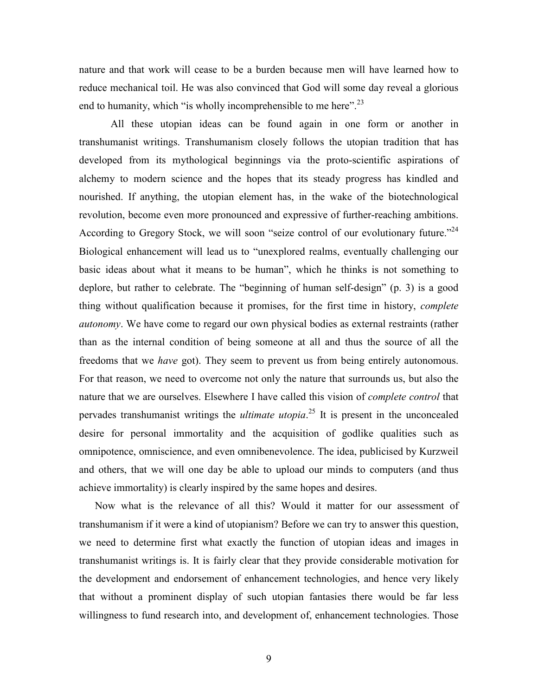nature and that work will cease to be a burden because men will have learned how to reduce mechanical toil. He was also convinced that God will some day reveal a glorious end to humanity, which "is wholly incomprehensible to me here".<sup>23</sup>

All these utopian ideas can be found again in one form or another in transhumanist writings. Transhumanism closely follows the utopian tradition that has developed from its mythological beginnings via the proto-scientific aspirations of alchemy to modern science and the hopes that its steady progress has kindled and nourished. If anything, the utopian element has, in the wake of the biotechnological revolution, become even more pronounced and expressive of further-reaching ambitions. According to Gregory Stock, we will soon "seize control of our evolutionary future."<sup>24</sup> Biological enhancement will lead us to "unexplored realms, eventually challenging our basic ideas about what it means to be human", which he thinks is not something to deplore, but rather to celebrate. The "beginning of human self-design" (p. 3) is a good thing without qualification because it promises, for the first time in history, *complete autonomy*. We have come to regard our own physical bodies as external restraints (rather than as the internal condition of being someone at all and thus the source of all the freedoms that we *have* got). They seem to prevent us from being entirely autonomous. For that reason, we need to overcome not only the nature that surrounds us, but also the nature that we are ourselves. Elsewhere I have called this vision of *complete control* that pervades transhumanist writings the *ultimate utopia*. <sup>25</sup> It is present in the unconcealed desire for personal immortality and the acquisition of godlike qualities such as omnipotence, omniscience, and even omnibenevolence. The idea, publicised by Kurzweil and others, that we will one day be able to upload our minds to computers (and thus achieve immortality) is clearly inspired by the same hopes and desires.

Now what is the relevance of all this? Would it matter for our assessment of transhumanism if it were a kind of utopianism? Before we can try to answer this question, we need to determine first what exactly the function of utopian ideas and images in transhumanist writings is. It is fairly clear that they provide considerable motivation for the development and endorsement of enhancement technologies, and hence very likely that without a prominent display of such utopian fantasies there would be far less willingness to fund research into, and development of, enhancement technologies. Those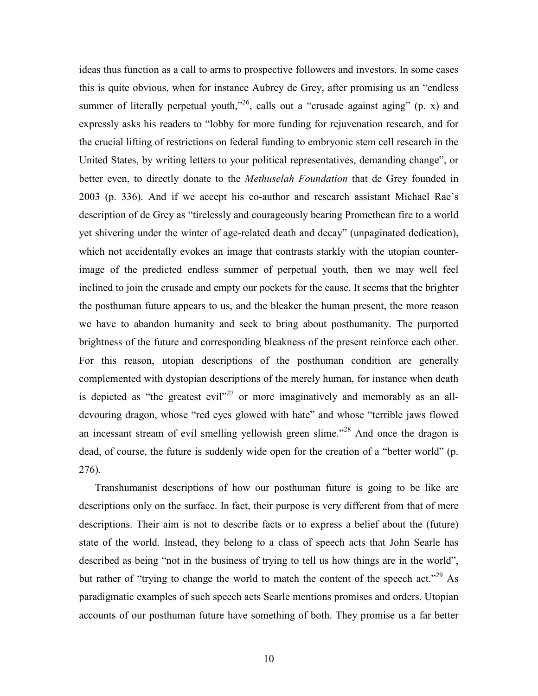ideas thus function as a call to arms to prospective followers and investors. In some cases this is quite obvious, when for instance Aubrey de Grey, after promising us an "endless summer of literally perpetual youth,<sup>226</sup>, calls out a "crusade against aging" (p. x) and expressly asks his readers to "lobby for more funding for rejuvenation research, and for the crucial lifting of restrictions on federal funding to embryonic stem cell research in the United States, by writing letters to your political representatives, demanding change", or better even, to directly donate to the *Methuselah Foundation* that de Grey founded in 2003 (p. 336). And if we accept his co-author and research assistant Michael Rae's description of de Grey as "tirelessly and courageously bearing Promethean fire to a world yet shivering under the winter of age-related death and decay" (unpaginated dedication), which not accidentally evokes an image that contrasts starkly with the utopian counterimage of the predicted endless summer of perpetual youth, then we may well feel inclined to join the crusade and empty our pockets for the cause. It seems that the brighter the posthuman future appears to us, and the bleaker the human present, the more reason we have to abandon humanity and seek to bring about posthumanity. The purported brightness of the future and corresponding bleakness of the present reinforce each other. For this reason, utopian descriptions of the posthuman condition are generally complemented with dystopian descriptions of the merely human, for instance when death is depicted as "the greatest evil"<sup>27</sup> or more imaginatively and memorably as an alldevouring dragon, whose "red eyes glowed with hate" and whose "terrible jaws flowed an incessant stream of evil smelling yellowish green slime."<sup>28</sup> And once the dragon is dead, of course, the future is suddenly wide open for the creation of a "better world" (p. 276).

Transhumanist descriptions of how our posthuman future is going to be like are descriptions only on the surface. In fact, their purpose is very different from that of mere descriptions. Their aim is not to describe facts or to express a belief about the (future) state of the world. Instead, they belong to a class of speech acts that John Searle has described as being "not in the business of trying to tell us how things are in the world", but rather of "trying to change the world to match the content of the speech act."<sup>29</sup> As paradigmatic examples of such speech acts Searle mentions promises and orders. Utopian accounts of our posthuman future have something of both. They promise us a far better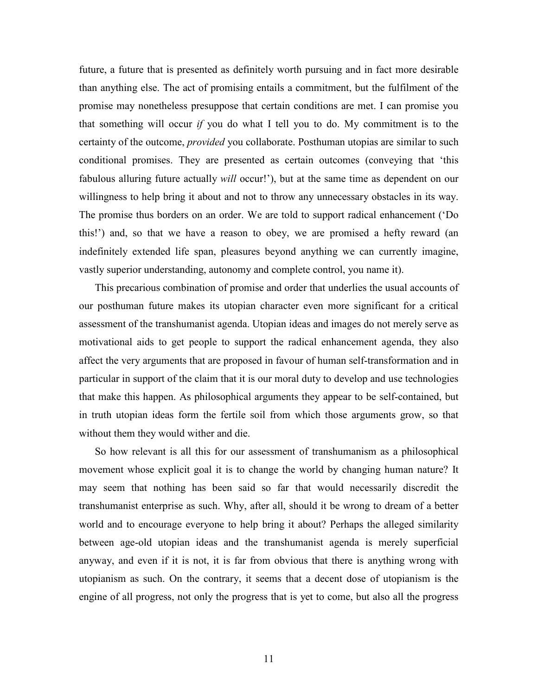future, a future that is presented as definitely worth pursuing and in fact more desirable than anything else. The act of promising entails a commitment, but the fulfilment of the promise may nonetheless presuppose that certain conditions are met. I can promise you that something will occur *if* you do what I tell you to do. My commitment is to the certainty of the outcome, *provided* you collaborate. Posthuman utopias are similar to such conditional promises. They are presented as certain outcomes (conveying that 'this fabulous alluring future actually *will* occur!'), but at the same time as dependent on our willingness to help bring it about and not to throw any unnecessary obstacles in its way. The promise thus borders on an order. We are told to support radical enhancement ('Do this!') and, so that we have a reason to obey, we are promised a hefty reward (an indefinitely extended life span, pleasures beyond anything we can currently imagine, vastly superior understanding, autonomy and complete control, you name it).

This precarious combination of promise and order that underlies the usual accounts of our posthuman future makes its utopian character even more significant for a critical assessment of the transhumanist agenda. Utopian ideas and images do not merely serve as motivational aids to get people to support the radical enhancement agenda, they also affect the very arguments that are proposed in favour of human self-transformation and in particular in support of the claim that it is our moral duty to develop and use technologies that make this happen. As philosophical arguments they appear to be self-contained, but in truth utopian ideas form the fertile soil from which those arguments grow, so that without them they would wither and die.

So how relevant is all this for our assessment of transhumanism as a philosophical movement whose explicit goal it is to change the world by changing human nature? It may seem that nothing has been said so far that would necessarily discredit the transhumanist enterprise as such. Why, after all, should it be wrong to dream of a better world and to encourage everyone to help bring it about? Perhaps the alleged similarity between age-old utopian ideas and the transhumanist agenda is merely superficial anyway, and even if it is not, it is far from obvious that there is anything wrong with utopianism as such. On the contrary, it seems that a decent dose of utopianism is the engine of all progress, not only the progress that is yet to come, but also all the progress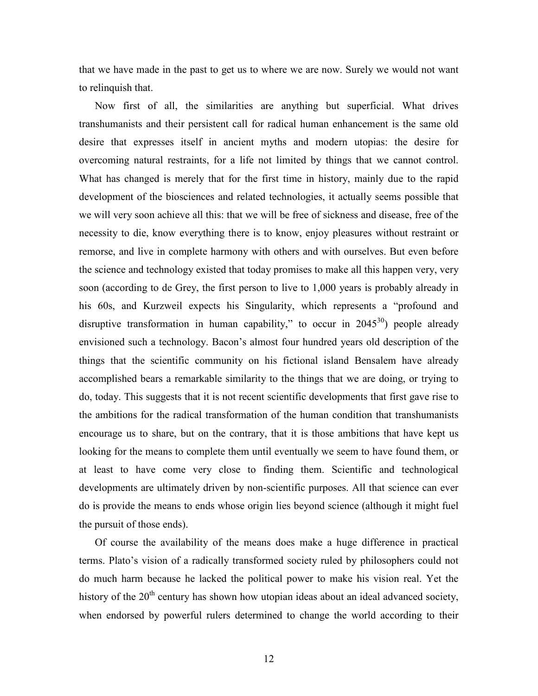that we have made in the past to get us to where we are now. Surely we would not want to relinquish that.

Now first of all, the similarities are anything but superficial. What drives transhumanists and their persistent call for radical human enhancement is the same old desire that expresses itself in ancient myths and modern utopias: the desire for overcoming natural restraints, for a life not limited by things that we cannot control. What has changed is merely that for the first time in history, mainly due to the rapid development of the biosciences and related technologies, it actually seems possible that we will very soon achieve all this: that we will be free of sickness and disease, free of the necessity to die, know everything there is to know, enjoy pleasures without restraint or remorse, and live in complete harmony with others and with ourselves. But even before the science and technology existed that today promises to make all this happen very, very soon (according to de Grey, the first person to live to 1,000 years is probably already in his 60s, and Kurzweil expects his Singularity, which represents a "profound and disruptive transformation in human capability," to occur in  $2045^{30}$ ) people already envisioned such a technology. Bacon's almost four hundred years old description of the things that the scientific community on his fictional island Bensalem have already accomplished bears a remarkable similarity to the things that we are doing, or trying to do, today. This suggests that it is not recent scientific developments that first gave rise to the ambitions for the radical transformation of the human condition that transhumanists encourage us to share, but on the contrary, that it is those ambitions that have kept us looking for the means to complete them until eventually we seem to have found them, or at least to have come very close to finding them. Scientific and technological developments are ultimately driven by non-scientific purposes. All that science can ever do is provide the means to ends whose origin lies beyond science (although it might fuel the pursuit of those ends).

Of course the availability of the means does make a huge difference in practical terms. Plato's vision of a radically transformed society ruled by philosophers could not do much harm because he lacked the political power to make his vision real. Yet the history of the  $20<sup>th</sup>$  century has shown how utopian ideas about an ideal advanced society, when endorsed by powerful rulers determined to change the world according to their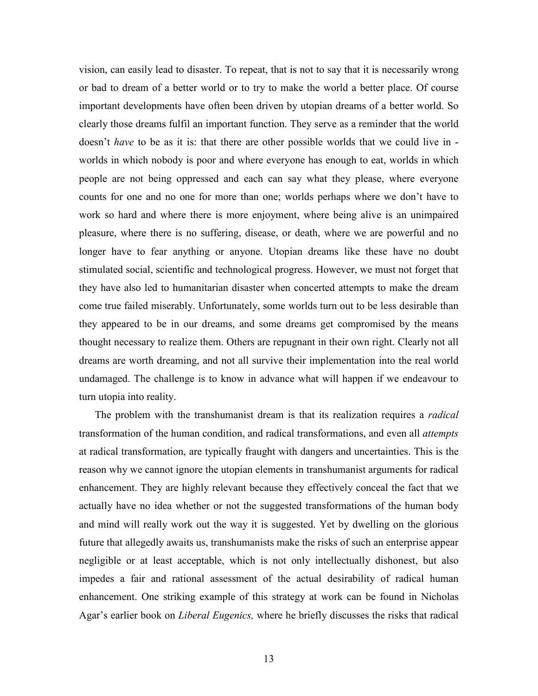vision, can easily lead to disaster. To repeat, that is not to say that it is necessarily wrong or bad to dream of a better world or to try to make the world a better place. Of course important developments have often been driven by utopian dreams of a better world. So clearly those dreams fulfil an important function. They serve as a reminder that the world doesn't *have* to be as it is: that there are other possible worlds that we could live in worlds in which nobody is poor and where everyone has enough to eat, worlds in which people are not being oppressed and each can say what they please, where everyone counts for one and no one for more than one; worlds perhaps where we don't have to work so hard and where there is more enjoyment, where being alive is an unimpaired pleasure, where there is no suffering, disease, or death, where we are powerful and no longer have to fear anything or anyone. Utopian dreams like these have no doubt stimulated social, scientific and technological progress. However, we must not forget that they have also led to humanitarian disaster when concerted attempts to make the dream come true failed miserably. Unfortunately, some worlds turn out to be less desirable than they appeared to be in our dreams, and some dreams get compromised by the means thought necessary to realize them. Others are repugnant in their own right. Clearly not all dreams are worth dreaming, and not all survive their implementation into the real world undamaged. The challenge is to know in advance what will happen if we endeavour to turn utopia into reality.

The problem with the transhumanist dream is that its realization requires a *radical* transformation of the human condition, and radical transformations, and even all *attempts* at radical transformation, are typically fraught with dangers and uncertainties. This is the reason why we cannot ignore the utopian elements in transhumanist arguments for radical enhancement. They are highly relevant because they effectively conceal the fact that we actually have no idea whether or not the suggested transformations of the human body and mind will really work out the way it is suggested. Yet by dwelling on the glorious future that allegedly awaits us, transhumanists make the risks of such an enterprise appear negligible or at least acceptable, which is not only intellectually dishonest, but also impedes a fair and rational assessment of the actual desirability of radical human enhancement. One striking example of this strategy at work can be found in Nicholas Agar's earlier book on *Liberal Eugenics,* where he briefly discusses the risks that radical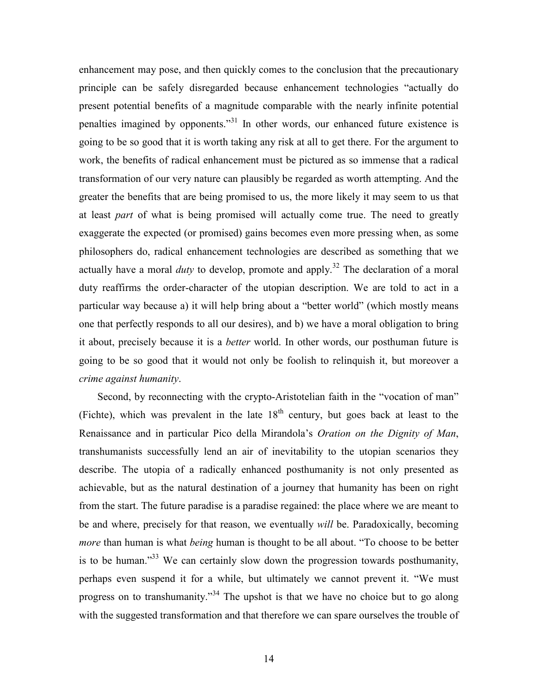enhancement may pose, and then quickly comes to the conclusion that the precautionary principle can be safely disregarded because enhancement technologies "actually do present potential benefits of a magnitude comparable with the nearly infinite potential penalties imagined by opponents."<sup>31</sup> In other words, our enhanced future existence is going to be so good that it is worth taking any risk at all to get there. For the argument to work, the benefits of radical enhancement must be pictured as so immense that a radical transformation of our very nature can plausibly be regarded as worth attempting. And the greater the benefits that are being promised to us, the more likely it may seem to us that at least *part* of what is being promised will actually come true. The need to greatly exaggerate the expected (or promised) gains becomes even more pressing when, as some philosophers do, radical enhancement technologies are described as something that we actually have a moral *duty* to develop, promote and apply.<sup>32</sup> The declaration of a moral duty reaffirms the order-character of the utopian description. We are told to act in a particular way because a) it will help bring about a "better world" (which mostly means one that perfectly responds to all our desires), and b) we have a moral obligation to bring it about, precisely because it is a *better* world. In other words, our posthuman future is going to be so good that it would not only be foolish to relinquish it, but moreover a *crime against humanity*.

 Second, by reconnecting with the crypto-Aristotelian faith in the "vocation of man" (Fichte), which was prevalent in the late  $18<sup>th</sup>$  century, but goes back at least to the Renaissance and in particular Pico della Mirandola's *Oration on the Dignity of Man*, transhumanists successfully lend an air of inevitability to the utopian scenarios they describe. The utopia of a radically enhanced posthumanity is not only presented as achievable, but as the natural destination of a journey that humanity has been on right from the start. The future paradise is a paradise regained: the place where we are meant to be and where, precisely for that reason, we eventually *will* be. Paradoxically, becoming *more* than human is what *being* human is thought to be all about. "To choose to be better is to be human." $33$  We can certainly slow down the progression towards posthumanity, perhaps even suspend it for a while, but ultimately we cannot prevent it. "We must progress on to transhumanity."<sup>34</sup> The upshot is that we have no choice but to go along with the suggested transformation and that therefore we can spare ourselves the trouble of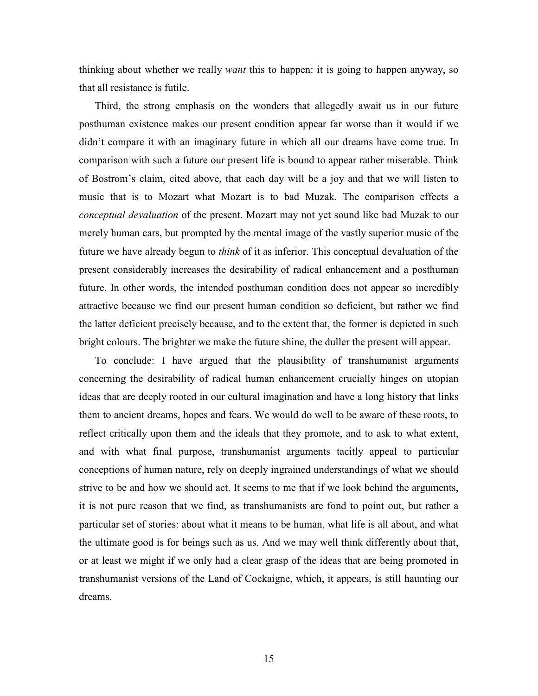thinking about whether we really *want* this to happen: it is going to happen anyway, so that all resistance is futile.

Third, the strong emphasis on the wonders that allegedly await us in our future posthuman existence makes our present condition appear far worse than it would if we didn't compare it with an imaginary future in which all our dreams have come true. In comparison with such a future our present life is bound to appear rather miserable. Think of Bostrom's claim, cited above, that each day will be a joy and that we will listen to music that is to Mozart what Mozart is to bad Muzak. The comparison effects a *conceptual devaluation* of the present. Mozart may not yet sound like bad Muzak to our merely human ears, but prompted by the mental image of the vastly superior music of the future we have already begun to *think* of it as inferior. This conceptual devaluation of the present considerably increases the desirability of radical enhancement and a posthuman future. In other words, the intended posthuman condition does not appear so incredibly attractive because we find our present human condition so deficient, but rather we find the latter deficient precisely because, and to the extent that, the former is depicted in such bright colours. The brighter we make the future shine, the duller the present will appear.

To conclude: I have argued that the plausibility of transhumanist arguments concerning the desirability of radical human enhancement crucially hinges on utopian ideas that are deeply rooted in our cultural imagination and have a long history that links them to ancient dreams, hopes and fears. We would do well to be aware of these roots, to reflect critically upon them and the ideals that they promote, and to ask to what extent, and with what final purpose, transhumanist arguments tacitly appeal to particular conceptions of human nature, rely on deeply ingrained understandings of what we should strive to be and how we should act. It seems to me that if we look behind the arguments, it is not pure reason that we find, as transhumanists are fond to point out, but rather a particular set of stories: about what it means to be human, what life is all about, and what the ultimate good is for beings such as us. And we may well think differently about that, or at least we might if we only had a clear grasp of the ideas that are being promoted in transhumanist versions of the Land of Cockaigne, which, it appears, is still haunting our dreams.